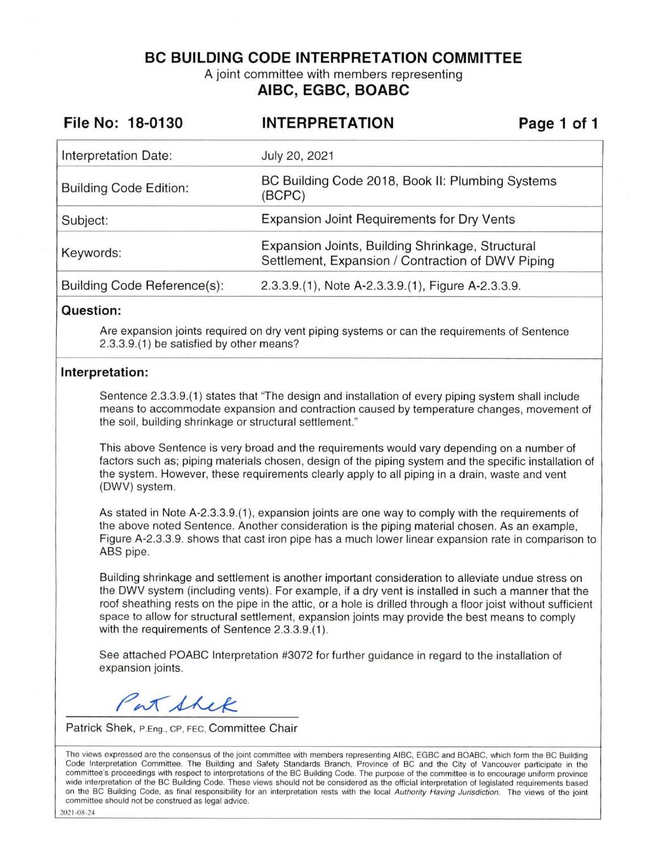**BC BUILDING CODE INTERPRETATION COMMITTEE** 

A joint committee with members representing **AIBC, EGBC, BOABC** 

| File No: 18-0130              | <b>INTERPRETATION</b>                                                                                 | Page 1 of 1 |
|-------------------------------|-------------------------------------------------------------------------------------------------------|-------------|
| Interpretation Date:          | July 20, 2021                                                                                         |             |
| <b>Building Code Edition:</b> | BC Building Code 2018, Book II: Plumbing Systems<br>(BCPC)                                            |             |
| Subject:                      | <b>Expansion Joint Requirements for Dry Vents</b>                                                     |             |
| Keywords:                     | Expansion Joints, Building Shrinkage, Structural<br>Settlement, Expansion / Contraction of DWV Piping |             |
| Building Code Reference(s):   | 2.3.3.9.(1), Note A-2.3.3.9.(1), Figure A-2.3.3.9.                                                    |             |

#### **Question:**

Are expansion joints required on dry vent piping systems or can the requirements of Sentence 2.3.3.9.(1) be satisfied by other means?

#### **Interpretation:**

Sentence 2.3.3.9.(1) states that "The design and installation of every piping system shall include means to accommodate expansion and contraction caused by temperature changes, movement of the soil, building shrinkage or structural settlement."

This above Sentence is very broad and the requirements would vary depending on a number of factors such as; piping materials chosen, design of the piping system and the specific installation of the system. However, these requirements clearly apply to all piping in a drain, waste and vent (DWV) system.

As stated in Note A-2.3.3.9.(1), expansion joints are one way to comply with the requirements of the above noted Sentence. Another consideration is the piping material chosen. As an example, Figure A-2.3.3.9. shows that cast iron pipe has a much lower linear expansion rate in comparison to ABS pipe.

Building shrinkage and settlement is another important consideration to alleviate undue stress on the DWV system (including vents). For example, if a dry vent is installed in such a manner that the roof sheathing rests on the pipe in the attic, or a hole is drilled through a floor joist without sufficient space to allow for structural settlement, expansion joints may provide the best means to comply with the requirements of Sentence 2.3.3.9.(1).

See attached POABC Interpretation #3072 for further guidance in regard to the installation of expansion joints.

Pat Shek

Patrick Shek, P.Eng., CP, FEC, Committee Chair

The views expressed are the consensus of the joint committee with members representing AIBC, EGBC and BOABC, which form the BC Building Code Interpretation Committee. The Building and Safety Standards Branch, Province of BC and the City of Vancouver participate in the committee's proceedings with respect to interpretations of the BC Building Code. The purpose of the committee is to encourage uniform province wide interpretation of the BC Building Code. These views should not be considered as the official interpretation of legislated requirements based on the BC Building Code, as final responsibility for an interpretation rests with the local Authority Having Jurisdiction. The views of the joint committee should not be construed as legal advice.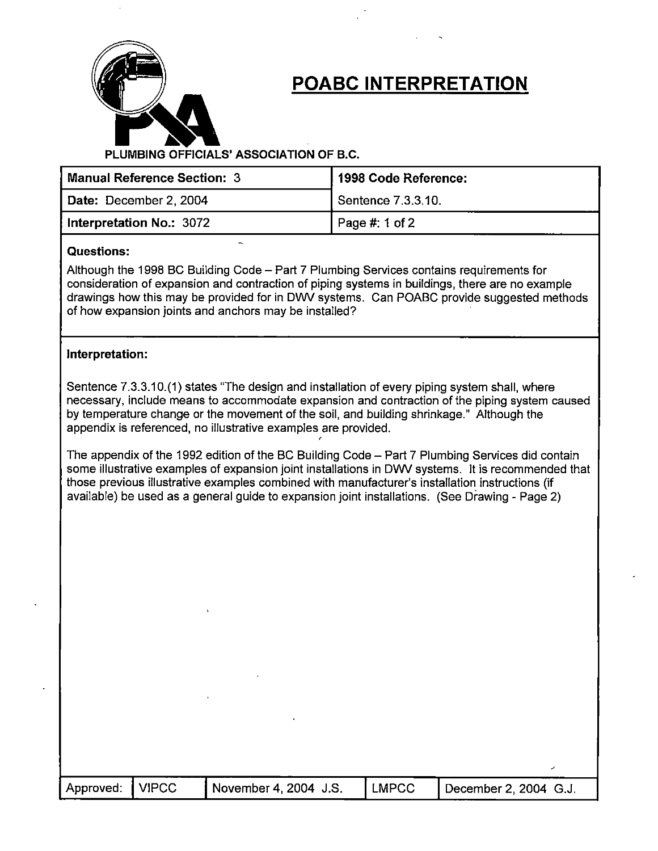

# **POABC INTERPRETATION**

**PLUMBING OFFICIALS' ASSOCIATION OF B.C.** 

'

| Manual Reference Section: 3 | 1998 Code Reference: |  |  |
|-----------------------------|----------------------|--|--|
| Date: December 2, 2004      | Sentence 7.3.3.10.   |  |  |
| Interpretation No.: 3072    | Page #: 1 of 2       |  |  |

#### - **Questions:**

Although the 1998 BC Building Code - Part 7 Plumbing Services contains requirements for consideration of expansion and contraction of piping systems in buildings, there are no example drawings how this may be provided for in DWV systems. Can POABC provide suggested methods of how expansion joints and anchors may be installed?

### **Interpretation:**

Sentence 7.3.3.10.(1) states "The design and installation of every piping system shall, where necessary, include means to accommodate expansion and contraction of the piping system caused by temperature change or the movement of the soil, and building shrinkage." Although the appendix is referenced, no illustrative examples are provided.

 $\epsilon$ 

The appendix of the 1992 edition of the BC Building Code - Part 7 Plumbing Services did contain some illustrative examples of expansion joint installations in DWV systems. It is recommended that those previous illustrative examples combined with manufacturer's installation instructions (if available) be used as a general guide to expansion joint installations. (See Drawing - Page 2)

| Approved: | <b>VIPCC</b> | November 4, 2004 J.S. | <b>LMPCC</b> | December 2, 2004 G.J. |
|-----------|--------------|-----------------------|--------------|-----------------------|